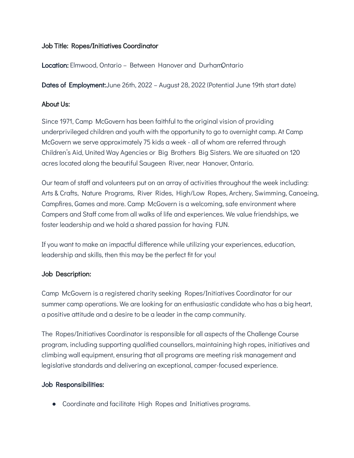### Job Title: Ropes/Initiatives Coordinator

Location: Elmwood, Ontario - Between Hanover and DurhamOntario

Dates of Employment:June 26th, 2022 – August 28, 2022 (Potential June 19th start date)

## About Us:

Since 1971, Camp McGovern has been faithful to the original vision of providing underprivileged children and youth with the opportunity to go to overnight camp. At Camp McGovern we serve approximately 75 kids a week - all of whom are referred through Children's Aid, United Way Agencies or Big Brothers Big Sisters. We are situated on 120 acres located along the beautiful Saugeen River, near Hanover, Ontario.

Our team of staff and volunteers put on an array of activities throughout the week including: Arts & Crafts, Nature Programs, River Rides, High/Low Ropes, Archery, Swimming, Canoeing, Campfires, Games and more. Camp McGovern is a welcoming, safe environment where Campers and Staff come from all walks of life and experiences. We value friendships, we foster leadership and we hold a shared passion for having FUN.

If you want to make an impactful difference while utilizing your experiences, education, leadership and skills, then this may be the perfect fit for you!

# Job Description:

Camp McGovern is a registered charity seeking Ropes/Initiatives Coordinator for our summer camp operations. We are looking for an enthusiastic candidate who has a big heart, a positive attitude and a desire to be a leader in the camp community.

The Ropes/Initiatives Coordinator is responsible for all aspects of the Challenge Course program, including supporting qualified counsellors, maintaining high ropes, initiatives and climbing wall equipment, ensuring that all programs are meeting risk management and legislative standards and delivering an exceptional, camper-focused experience.

# Job Responsibilities:

● Coordinate and facilitate High Ropes and Initiatives programs.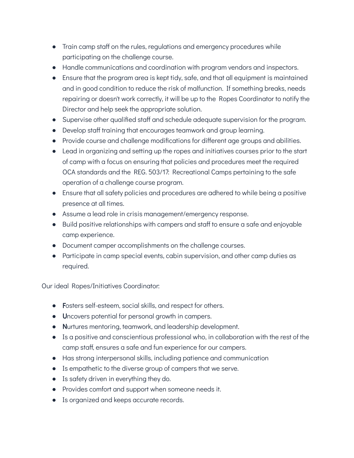- Train camp staff on the rules, regulations and emergency procedures while participating on the challenge course.
- Handle communications and coordination with program vendors and inspectors.
- Ensure that the program area is kept tidy, safe, and that all equipment is maintained and in good condition to reduce the risk of malfunction. If something breaks, needs repairing or doesn't work correctly, it will be up to the Ropes Coordinator to notify the Director and help seek the appropriate solution.
- Supervise other qualified staff and schedule adequate supervision for the program.
- Develop staff training that encourages teamwork and group learning.
- Provide course and challenge modifications for different age groups and abilities.
- Lead in organizing and setting up the ropes and initiatives courses prior to the start of camp with a focus on ensuring that policies and procedures meet the required OCA standards and the REG. 503/17: Recreational Camps pertaining to the safe operation of a challenge course program.
- Ensure that all safety policies and procedures are adhered to while being a positive presence at all times.
- Assume a lead role in crisis management/emergency response.
- Build positive relationships with campers and staff to ensure a safe and enjoyable camp experience.
- Document camper accomplishments on the challenge courses.
- Participate in camp special events, cabin supervision, and other camp duties as required.

Our ideal Ropes/Initiatives Coordinator:

- Fosters self-esteem, social skills, and respect for others.
- Uncovers potential for personal growth in campers.
- Nurtures mentoring, teamwork, and leadership development.
- Is a positive and conscientious professional who, in collaboration with the rest of the camp staff, ensures a safe and fun experience for our campers.
- Has strong interpersonal skills, including patience and communication
- Is empathetic to the diverse group of campers that we serve.
- Is safety driven in everything they do.
- Provides comfort and support when someone needs it.
- Is organized and keeps accurate records.